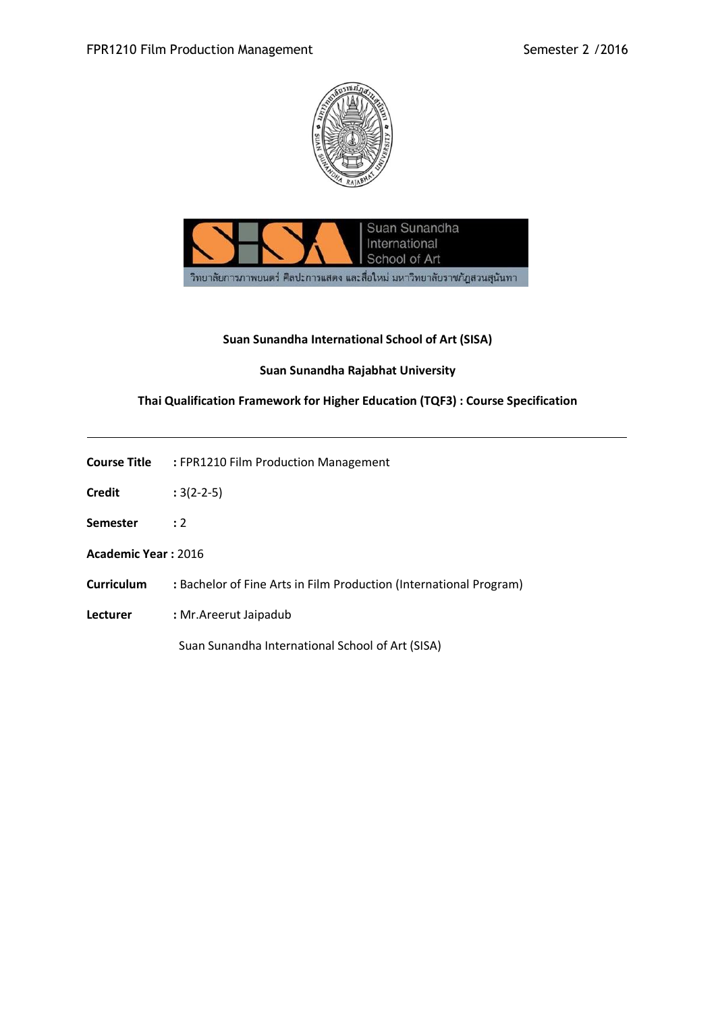



## **Suan Sunandha International School of Art (SISA)**

## **Suan Sunandha Rajabhat University**

# **Thai Qualification Framework for Higher Education (TQF3) : Course Specification**

| Course Title | : FPR1210 Film Production Management |  |
|--------------|--------------------------------------|--|
|              |                                      |  |

- **Credit :** 3(2-2-5)
- **Semester :** 2
- **Academic Year :** 2016
- **Curriculum :** Bachelor of Fine Arts in Film Production (International Program)
- **Lecturer :** Mr.Areerut Jaipadub

Suan Sunandha International School of Art (SISA)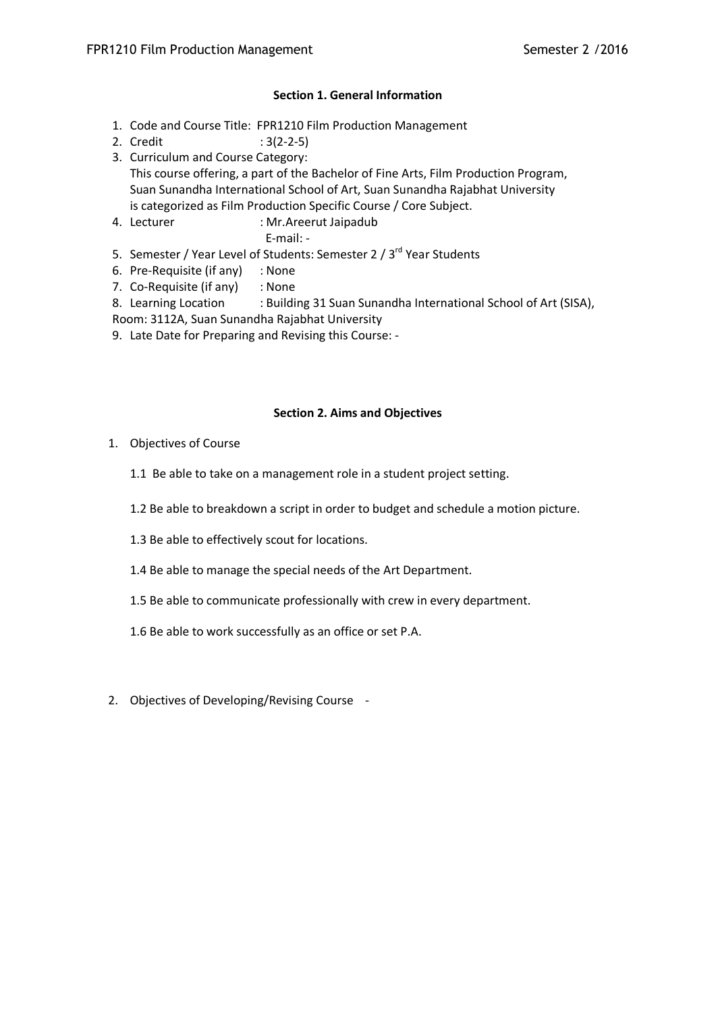### **Section 1. General Information**

- 1. Code and Course Title: FPR1210 Film Production Management
- 2. Credit : 3(2-2-5)
- 3. Curriculum and Course Category: This course offering, a part of the Bachelor of Fine Arts, Film Production Program, Suan Sunandha International School of Art, Suan Sunandha Rajabhat University is categorized as Film Production Specific Course / Core Subject.
- 4. Lecturer : Mr.Areerut Jaipadub E-mail: -
- 5. Semester / Year Level of Students: Semester 2 / 3<sup>rd</sup> Year Students
- 6. Pre-Requisite (if any) : None
- 7. Co-Requisite (if any) : None
- 8. Learning Location : Building 31 Suan Sunandha International School of Art (SISA), Room: 3112A, Suan Sunandha Rajabhat University
- 9. Late Date for Preparing and Revising this Course: -

## **Section 2. Aims and Objectives**

- 1. Objectives of Course
	- 1.1 Be able to take on a management role in a student project setting.
	- 1.2 Be able to breakdown a script in order to budget and schedule a motion picture.
	- 1.3 Be able to effectively scout for locations.
	- 1.4 Be able to manage the special needs of the Art Department.
	- 1.5 Be able to communicate professionally with crew in every department.
	- 1.6 Be able to work successfully as an office or set P.A.
- 2. Objectives of Developing/Revising Course -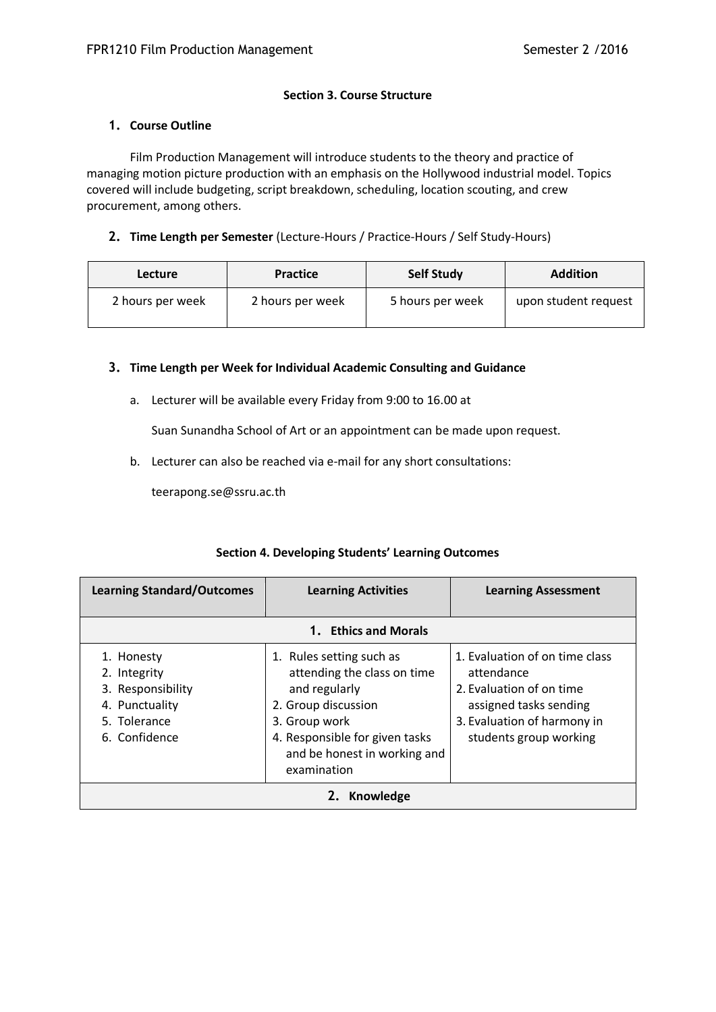### **Section 3. Course Structure**

### **1. Course Outline**

Film Production Management will introduce students to the theory and practice of managing motion picture production with an emphasis on the Hollywood industrial model. Topics covered will include budgeting, script breakdown, scheduling, location scouting, and crew procurement, among others.

### **2. Time Length per Semester** (Lecture-Hours / Practice-Hours / Self Study-Hours)

| <b>Lecture</b>   | <b>Practice</b>  | <b>Self Study</b> | <b>Addition</b>      |
|------------------|------------------|-------------------|----------------------|
| 2 hours per week | 2 hours per week | 5 hours per week  | upon student request |

### **3. Time Length per Week for Individual Academic Consulting and Guidance**

a. Lecturer will be available every Friday from 9:00 to 16.00 at

Suan Sunandha School of Art or an appointment can be made upon request.

b. Lecturer can also be reached via e-mail for any short consultations:

teerapong.se@ssru.ac.th

| <b>Learning Standard/Outcomes</b>                                                                  | <b>Learning Activities</b>                                                                                                                                                                        | <b>Learning Assessment</b>                                                                                                                                  |  |
|----------------------------------------------------------------------------------------------------|---------------------------------------------------------------------------------------------------------------------------------------------------------------------------------------------------|-------------------------------------------------------------------------------------------------------------------------------------------------------------|--|
|                                                                                                    | 1. Ethics and Morals                                                                                                                                                                              |                                                                                                                                                             |  |
| 1. Honesty<br>2. Integrity<br>3. Responsibility<br>4. Punctuality<br>5. Tolerance<br>6. Confidence | 1. Rules setting such as<br>attending the class on time<br>and regularly<br>2. Group discussion<br>3. Group work<br>4. Responsible for given tasks<br>and be honest in working and<br>examination | 1. Evaluation of on time class<br>attendance<br>2. Evaluation of on time<br>assigned tasks sending<br>3. Evaluation of harmony in<br>students group working |  |
| Knowledge<br>Z.                                                                                    |                                                                                                                                                                                                   |                                                                                                                                                             |  |

### **Section 4. Developing Students' Learning Outcomes**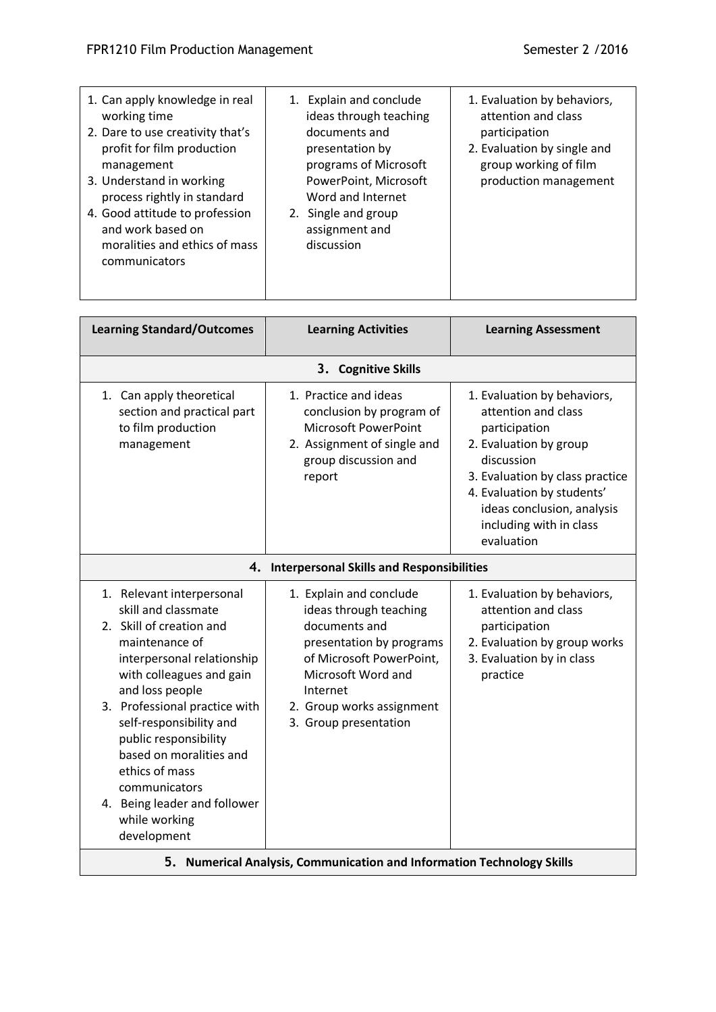| 1. Can apply knowledge in real<br>working time<br>2. Dare to use creativity that's<br>profit for film production<br>management<br>3. Understand in working<br>process rightly in standard<br>4. Good attitude to profession<br>and work based on<br>moralities and ethics of mass<br>communicators                                                                                             | 1. Explain and conclude<br>ideas through teaching<br>documents and<br>presentation by<br>programs of Microsoft<br>PowerPoint, Microsoft<br>Word and Internet<br>2. Single and group<br>assignment and<br>discussion | 1. Evaluation by behaviors,<br>attention and class<br>participation<br>2. Evaluation by single and<br>group working of film<br>production management                                                                                                |
|------------------------------------------------------------------------------------------------------------------------------------------------------------------------------------------------------------------------------------------------------------------------------------------------------------------------------------------------------------------------------------------------|---------------------------------------------------------------------------------------------------------------------------------------------------------------------------------------------------------------------|-----------------------------------------------------------------------------------------------------------------------------------------------------------------------------------------------------------------------------------------------------|
| <b>Learning Standard/Outcomes</b>                                                                                                                                                                                                                                                                                                                                                              | <b>Learning Activities</b>                                                                                                                                                                                          | <b>Learning Assessment</b>                                                                                                                                                                                                                          |
|                                                                                                                                                                                                                                                                                                                                                                                                | 3. Cognitive Skills                                                                                                                                                                                                 |                                                                                                                                                                                                                                                     |
| 1. Can apply theoretical<br>section and practical part<br>to film production<br>management                                                                                                                                                                                                                                                                                                     | 1. Practice and ideas<br>conclusion by program of<br><b>Microsoft PowerPoint</b><br>2. Assignment of single and<br>group discussion and<br>report                                                                   | 1. Evaluation by behaviors,<br>attention and class<br>participation<br>2. Evaluation by group<br>discussion<br>3. Evaluation by class practice<br>4. Evaluation by students'<br>ideas conclusion, analysis<br>including with in class<br>evaluation |
|                                                                                                                                                                                                                                                                                                                                                                                                | 4. Interpersonal Skills and Responsibilities                                                                                                                                                                        |                                                                                                                                                                                                                                                     |
| 1. Relevant interpersonal<br>skill and classmate<br>2. Skill of creation and<br>maintenance of<br>interpersonal relationship<br>with colleagues and gain<br>and loss people<br>3. Professional practice with<br>self-responsibility and<br>public responsibility<br>based on moralities and<br>ethics of mass<br>communicators<br>4. Being leader and follower<br>while working<br>development | 1. Explain and conclude<br>ideas through teaching<br>documents and<br>presentation by programs<br>of Microsoft PowerPoint,<br>Microsoft Word and<br>Internet<br>2. Group works assignment<br>3. Group presentation  | 1. Evaluation by behaviors,<br>attention and class<br>participation<br>2. Evaluation by group works<br>3. Evaluation by in class<br>practice                                                                                                        |
|                                                                                                                                                                                                                                                                                                                                                                                                | 5. Numerical Analysis, Communication and Information Technology Skills                                                                                                                                              |                                                                                                                                                                                                                                                     |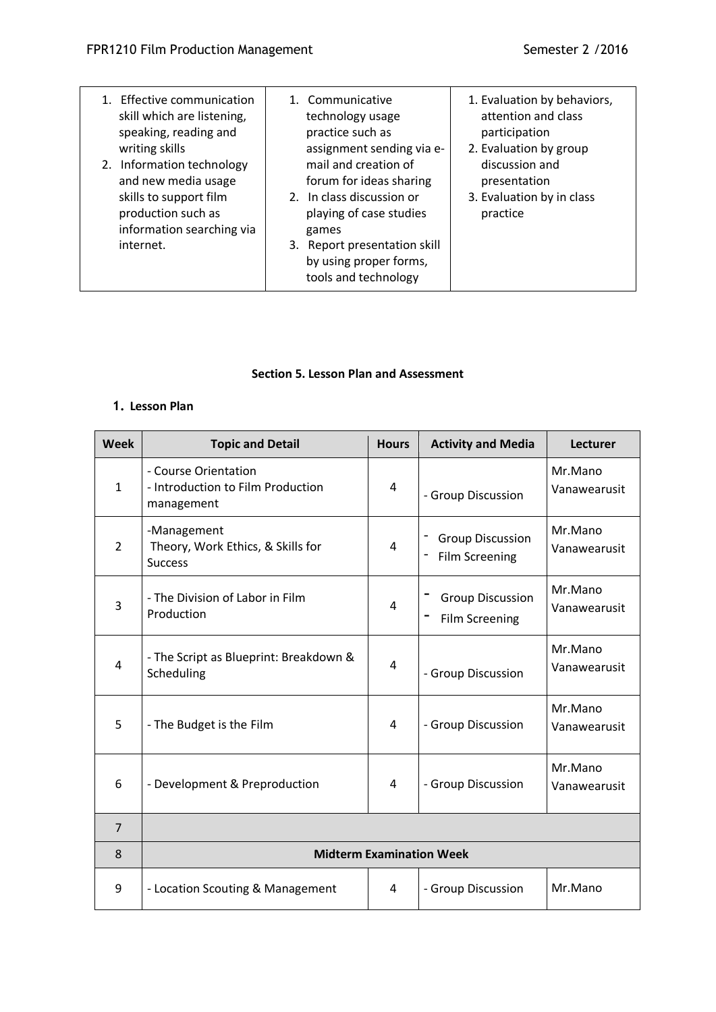| 1. Effective communication<br>skill which are listening,<br>speaking, reading and<br>writing skills<br>2. Information technology<br>and new media usage<br>skills to support film<br>production such as<br>information searching via<br>internet. | technology usage<br>practice such as<br>assignment sending via e-<br>mail and creation of<br>forum for ideas sharing<br>2. In class discussion or<br>playing of case studies<br>games<br>3. Report presentation skill<br>by using proper forms, | attention and class<br>participation<br>2. Evaluation by group<br>discussion and<br>presentation<br>3. Evaluation by in class<br>practice |
|---------------------------------------------------------------------------------------------------------------------------------------------------------------------------------------------------------------------------------------------------|-------------------------------------------------------------------------------------------------------------------------------------------------------------------------------------------------------------------------------------------------|-------------------------------------------------------------------------------------------------------------------------------------------|
|                                                                                                                                                                                                                                                   | tools and technology                                                                                                                                                                                                                            |                                                                                                                                           |

### **Section 5. Lesson Plan and Assessment**

# **1. Lesson Plan**

| <b>Week</b>    | <b>Topic and Detail</b>                                                 | <b>Hours</b> | <b>Activity and Media</b>                        | <b>Lecturer</b>         |
|----------------|-------------------------------------------------------------------------|--------------|--------------------------------------------------|-------------------------|
| $\mathbf{1}$   | - Course Orientation<br>- Introduction to Film Production<br>management | 4            | - Group Discussion                               | Mr.Mano<br>Vanawearusit |
| $\overline{2}$ | -Management<br>Theory, Work Ethics, & Skills for<br><b>Success</b>      | 4            | <b>Group Discussion</b><br><b>Film Screening</b> | Mr.Mano<br>Vanawearusit |
| 3              | - The Division of Labor in Film<br>Production                           | 4            | <b>Group Discussion</b><br><b>Film Screening</b> | Mr.Mano<br>Vanawearusit |
| $\overline{4}$ | - The Script as Blueprint: Breakdown &<br>Scheduling                    | 4            | - Group Discussion                               | Mr.Mano<br>Vanawearusit |
| 5              | - The Budget is the Film                                                | 4            | - Group Discussion                               | Mr.Mano<br>Vanawearusit |
| 6              | - Development & Preproduction                                           | 4            | - Group Discussion                               | Mr.Mano<br>Vanawearusit |
| $\overline{7}$ |                                                                         |              |                                                  |                         |
| 8              | <b>Midterm Examination Week</b>                                         |              |                                                  |                         |
| 9              | - Location Scouting & Management                                        | 4            | - Group Discussion                               | Mr.Mano                 |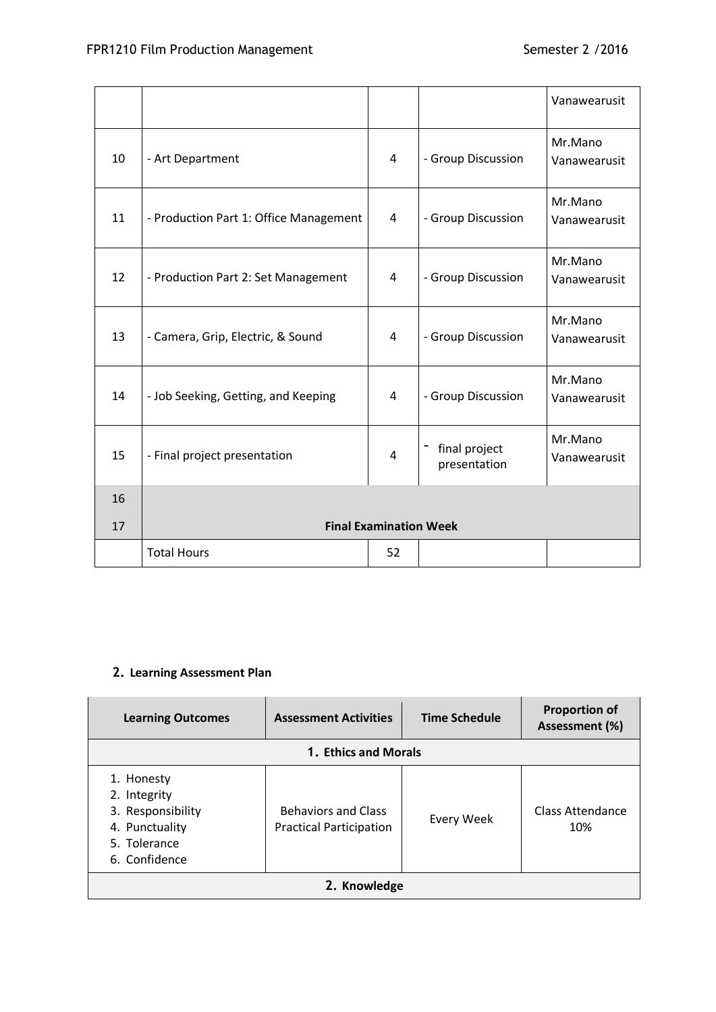|    |                                        |                |                               | Vanawearusit            |
|----|----------------------------------------|----------------|-------------------------------|-------------------------|
| 10 | - Art Department                       | $\overline{4}$ | - Group Discussion            | Mr.Mano<br>Vanawearusit |
| 11 | - Production Part 1: Office Management | 4              | - Group Discussion            | Mr.Mano<br>Vanawearusit |
| 12 | - Production Part 2: Set Management    | 4              | - Group Discussion            | Mr.Mano<br>Vanawearusit |
| 13 | - Camera, Grip, Electric, & Sound      | 4              | - Group Discussion            | Mr.Mano<br>Vanawearusit |
| 14 | - Job Seeking, Getting, and Keeping    | 4              | - Group Discussion            | Mr.Mano<br>Vanawearusit |
| 15 | - Final project presentation           | $\overline{4}$ | final project<br>presentation | Mr.Mano<br>Vanawearusit |
| 16 |                                        |                |                               |                         |
| 17 | <b>Final Examination Week</b>          |                |                               |                         |
|    | <b>Total Hours</b>                     | 52             |                               |                         |

# **2. Learning Assessment Plan**

| <b>Learning Outcomes</b>                                                                           | <b>Assessment Activities</b>                                 | <b>Time Schedule</b> | <b>Proportion of</b><br>Assessment (%) |  |
|----------------------------------------------------------------------------------------------------|--------------------------------------------------------------|----------------------|----------------------------------------|--|
| 1. Ethics and Morals                                                                               |                                                              |                      |                                        |  |
| 1. Honesty<br>2. Integrity<br>3. Responsibility<br>4. Punctuality<br>5. Tolerance<br>6. Confidence | <b>Behaviors and Class</b><br><b>Practical Participation</b> | Every Week           | Class Attendance<br>10%                |  |
| 2. Knowledge                                                                                       |                                                              |                      |                                        |  |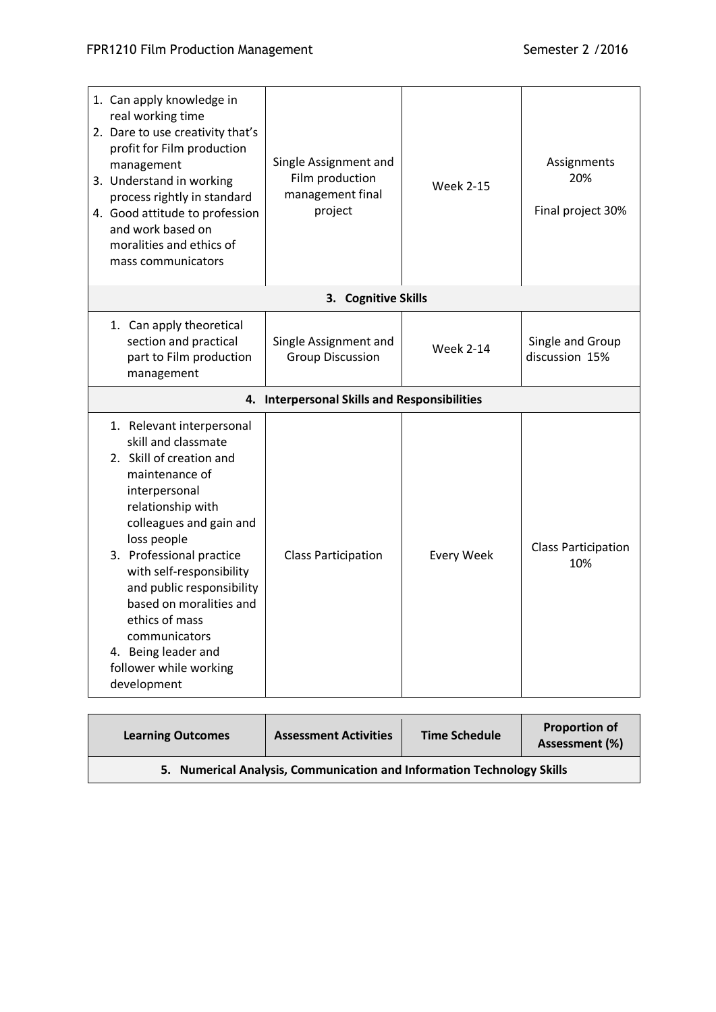| 1. Can apply knowledge in<br>real working time<br>2. Dare to use creativity that's<br>profit for Film production<br>management<br>3. Understand in working<br>process rightly in standard<br>4. Good attitude to profession<br>and work based on<br>moralities and ethics of<br>mass communicators                                                                                                | Single Assignment and<br>Film production<br>management final<br>project | <b>Week 2-15</b>  | Assignments<br>20%<br>Final project 30% |
|---------------------------------------------------------------------------------------------------------------------------------------------------------------------------------------------------------------------------------------------------------------------------------------------------------------------------------------------------------------------------------------------------|-------------------------------------------------------------------------|-------------------|-----------------------------------------|
|                                                                                                                                                                                                                                                                                                                                                                                                   | 3. Cognitive Skills                                                     |                   |                                         |
| 1. Can apply theoretical<br>section and practical<br>part to Film production<br>management                                                                                                                                                                                                                                                                                                        | Single Assignment and<br><b>Group Discussion</b>                        | <b>Week 2-14</b>  | Single and Group<br>discussion 15%      |
|                                                                                                                                                                                                                                                                                                                                                                                                   | 4. Interpersonal Skills and Responsibilities                            |                   |                                         |
| 1. Relevant interpersonal<br>skill and classmate<br>2. Skill of creation and<br>maintenance of<br>interpersonal<br>relationship with<br>colleagues and gain and<br>loss people<br>3. Professional practice<br>with self-responsibility<br>and public responsibility<br>based on moralities and<br>ethics of mass<br>communicators<br>4. Being leader and<br>follower while working<br>development | <b>Class Participation</b>                                              | <b>Every Week</b> | <b>Class Participation</b><br>10%       |

| <b>Learning Outcomes</b>                                               | <b>Assessment Activities</b> | <b>Time Schedule</b> | <b>Proportion of</b><br>Assessment (%) |  |
|------------------------------------------------------------------------|------------------------------|----------------------|----------------------------------------|--|
| 5. Numerical Analysis, Communication and Information Technology Skills |                              |                      |                                        |  |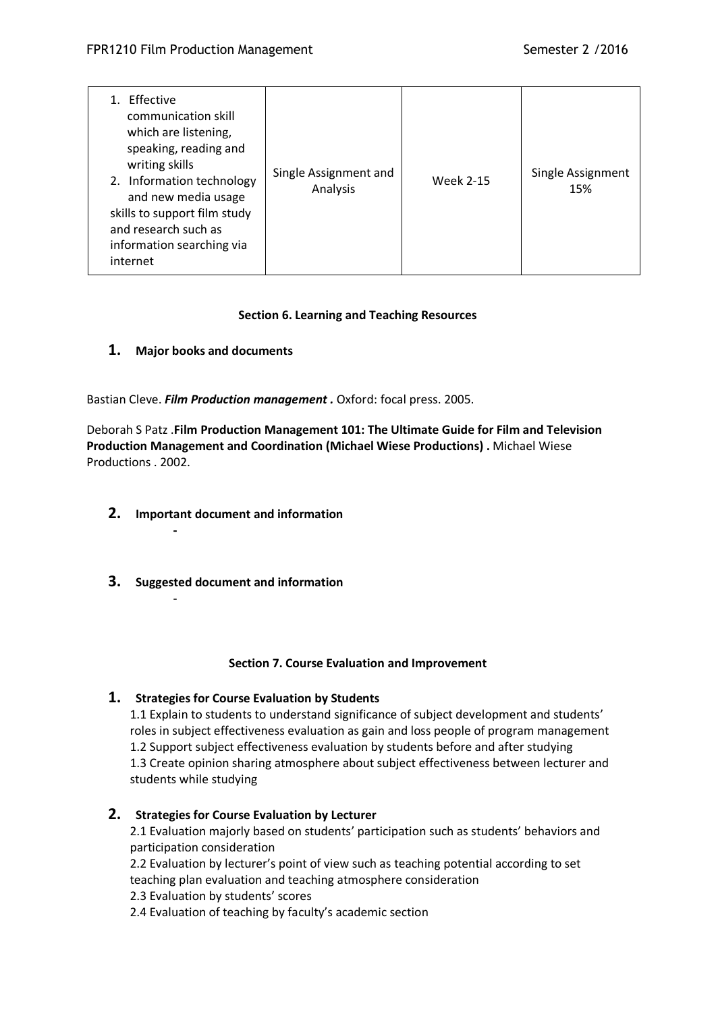| 1. Fffective<br>communication skill<br>which are listening,<br>speaking, reading and<br>writing skills<br>2. Information technology<br>and new media usage<br>skills to support film study<br>and research such as<br>information searching via<br>internet | Single Assignment and<br>Analysis | <b>Week 2-15</b> | Single Assignment<br>15% |
|-------------------------------------------------------------------------------------------------------------------------------------------------------------------------------------------------------------------------------------------------------------|-----------------------------------|------------------|--------------------------|
|-------------------------------------------------------------------------------------------------------------------------------------------------------------------------------------------------------------------------------------------------------------|-----------------------------------|------------------|--------------------------|

## **Section 6. Learning and Teaching Resources**

## **1. Major books and documents**

Bastian Cleve. *Film Production management .* Oxford: focal press. 2005.

Deborah S Patz .**Film Production Management 101: The Ultimate Guide for Film and Television Production Management and Coordination (Michael Wiese Productions) .** Michael Wiese Productions . 2002.

**2. Important document and information**

**-**

-

**3. Suggested document and information**

### **Section 7. Course Evaluation and Improvement**

## **1. Strategies for Course Evaluation by Students**

1.1 Explain to students to understand significance of subject development and students' roles in subject effectiveness evaluation as gain and loss people of program management 1.2 Support subject effectiveness evaluation by students before and after studying 1.3 Create opinion sharing atmosphere about subject effectiveness between lecturer and students while studying

## **2. Strategies for Course Evaluation by Lecturer**

2.1 Evaluation majorly based on students' participation such as students' behaviors and participation consideration

2.2 Evaluation by lecturer's point of view such as teaching potential according to set teaching plan evaluation and teaching atmosphere consideration

2.3 Evaluation by students' scores

2.4 Evaluation of teaching by faculty's academic section